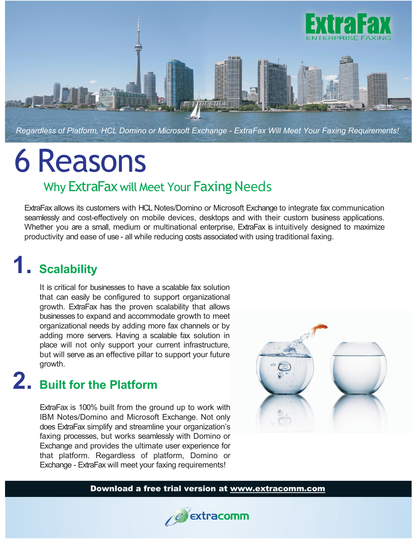

# 6 Reasons

#### Why ExtraFax will Meet Your Faxing Needs

ExtraFax allows its customers with HCL Notes/Domino or Microsoft Exchange to integrate fax communication seamlessly and cost-effectively on mobile devices, desktops and with their custom business applications. Whether you are a small, medium or multinational enterprise, ExtraFax is intuitively designed to maximize productivity and ease of use - all while reducing costs associated with using traditional faxing.

### **1. Scalability**

It is critical for businesses to have a scalable fax solution that can easily be configured to support organizational growth. ExtraFax has the proven scalability that allows businesses to expand and accommodate growth to meet organizational needs by adding more fax channels or by adding more servers. Having a scalable fax solution in place will not only support your current infrastructure, but will serve as an effective pillar to support your future growth.

### **2. Built for the Platform**

ExtraFax is 100% built from the ground up to work with IBM Notes/Domino and Microsoft Exchange. Not only does ExtraFax simplify and streamline your organization's faxing processes, but works seamlessly with Domino or Exchange and provides the ultimate user experience for that platform. Regardless of platform, Domino or Exchange - ExtraFax will meet your faxing requirements!



#### Download a free trial version at www.extracomm.com